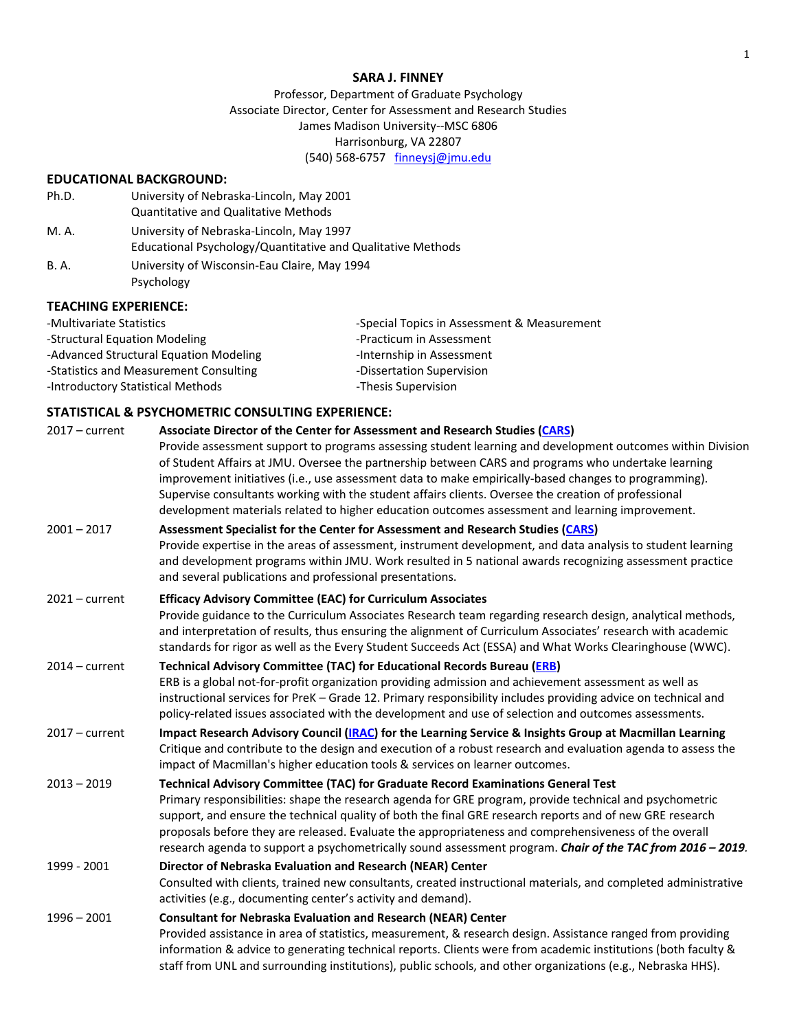### **SARA J. FINNEY**

Professor, Department of Graduate Psychology Associate Director, Center for Assessment and Research Studies James Madison University--MSC 6806 Harrisonburg, VA 22807 (540) 568-6757 [finneysj@jmu.edu](mailto:finneysj@jmu.edu)

# **EDUCATIONAL BACKGROUND:**

| Ph.D.       | University of Nebraska-Lincoln, May 2001                                                                |  |
|-------------|---------------------------------------------------------------------------------------------------------|--|
|             | <b>Quantitative and Qualitative Methods</b>                                                             |  |
| M. A.       | University of Nebraska-Lincoln, May 1997<br>Educational Psychology/Quantitative and Qualitative Methods |  |
| <b>B.A.</b> | University of Wisconsin-Eau Claire, May 1994<br>Psychology                                              |  |

## **TEACHING EXPERIENCE:**

| -Multivariate Statistics               | -Special Topics in Assessment & Measurement |
|----------------------------------------|---------------------------------------------|
| -Structural Equation Modeling          | -Practicum in Assessment                    |
| -Advanced Structural Equation Modeling | -Internship in Assessment                   |
| -Statistics and Measurement Consulting | -Dissertation Supervision                   |
| -Introductory Statistical Methods      | -Thesis Supervision                         |

## **STATISTICAL & PSYCHOMETRIC CONSULTING EXPERIENCE:**

| $2017$ – current | Associate Director of the Center for Assessment and Research Studies (CARS)<br>Provide assessment support to programs assessing student learning and development outcomes within Division<br>of Student Affairs at JMU. Oversee the partnership between CARS and programs who undertake learning<br>improvement initiatives (i.e., use assessment data to make empirically-based changes to programming).<br>Supervise consultants working with the student affairs clients. Oversee the creation of professional              |  |
|------------------|--------------------------------------------------------------------------------------------------------------------------------------------------------------------------------------------------------------------------------------------------------------------------------------------------------------------------------------------------------------------------------------------------------------------------------------------------------------------------------------------------------------------------------|--|
|                  | development materials related to higher education outcomes assessment and learning improvement.                                                                                                                                                                                                                                                                                                                                                                                                                                |  |
| $2001 - 2017$    | Assessment Specialist for the Center for Assessment and Research Studies (CARS)<br>Provide expertise in the areas of assessment, instrument development, and data analysis to student learning<br>and development programs within JMU. Work resulted in 5 national awards recognizing assessment practice<br>and several publications and professional presentations.                                                                                                                                                          |  |
| $2021 - current$ | <b>Efficacy Advisory Committee (EAC) for Curriculum Associates</b>                                                                                                                                                                                                                                                                                                                                                                                                                                                             |  |
|                  | Provide guidance to the Curriculum Associates Research team regarding research design, analytical methods,<br>and interpretation of results, thus ensuring the alignment of Curriculum Associates' research with academic<br>standards for rigor as well as the Every Student Succeeds Act (ESSA) and What Works Clearinghouse (WWC).                                                                                                                                                                                          |  |
| $2014 - current$ | <b>Technical Advisory Committee (TAC) for Educational Records Bureau (ERB)</b>                                                                                                                                                                                                                                                                                                                                                                                                                                                 |  |
|                  | ERB is a global not-for-profit organization providing admission and achievement assessment as well as<br>instructional services for PreK - Grade 12. Primary responsibility includes providing advice on technical and<br>policy-related issues associated with the development and use of selection and outcomes assessments.                                                                                                                                                                                                 |  |
| $2017$ – current | Impact Research Advisory Council (IRAC) for the Learning Service & Insights Group at Macmillan Learning<br>Critique and contribute to the design and execution of a robust research and evaluation agenda to assess the<br>impact of Macmillan's higher education tools & services on learner outcomes.                                                                                                                                                                                                                        |  |
| $2013 - 2019$    | Technical Advisory Committee (TAC) for Graduate Record Examinations General Test<br>Primary responsibilities: shape the research agenda for GRE program, provide technical and psychometric<br>support, and ensure the technical quality of both the final GRE research reports and of new GRE research<br>proposals before they are released. Evaluate the appropriateness and comprehensiveness of the overall<br>research agenda to support a psychometrically sound assessment program. Chair of the TAC from 2016 - 2019. |  |
| 1999 - 2001      | Director of Nebraska Evaluation and Research (NEAR) Center<br>Consulted with clients, trained new consultants, created instructional materials, and completed administrative<br>activities (e.g., documenting center's activity and demand).                                                                                                                                                                                                                                                                                   |  |
| $1996 - 2001$    | <b>Consultant for Nebraska Evaluation and Research (NEAR) Center</b><br>Provided assistance in area of statistics, measurement, & research design. Assistance ranged from providing<br>information & advice to generating technical reports. Clients were from academic institutions (both faculty &<br>staff from UNL and surrounding institutions), public schools, and other organizations (e.g., Nebraska HHS).                                                                                                            |  |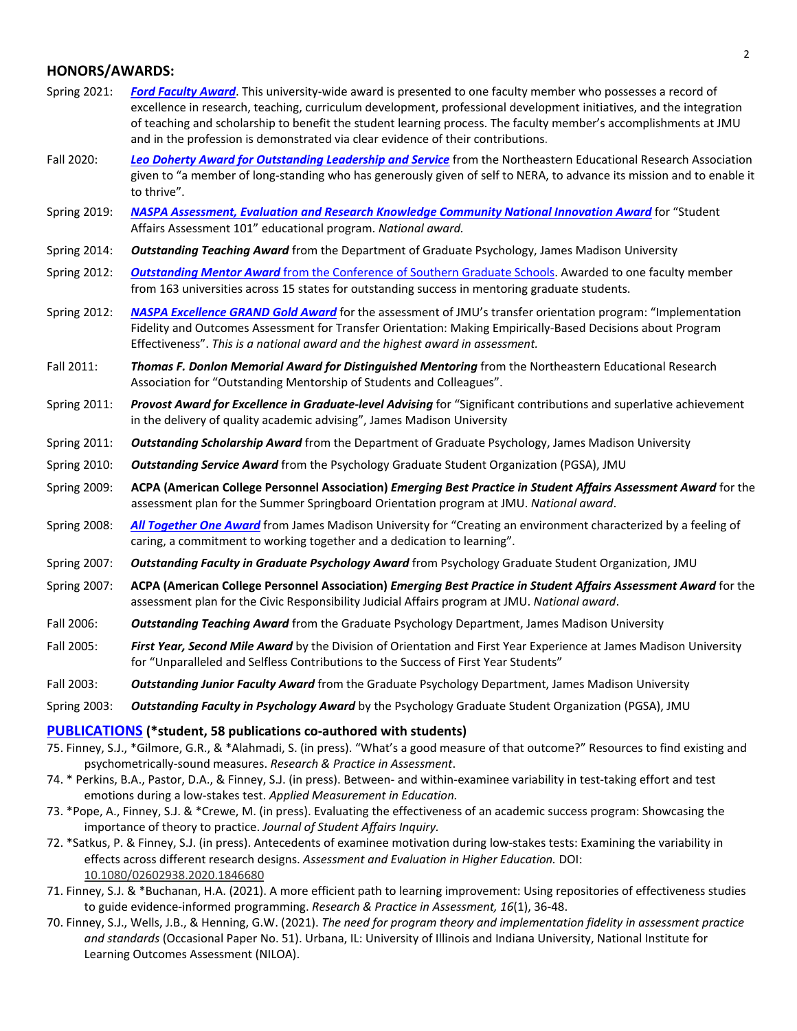# **HONORS/AWARDS:**

- Spring 2021: *[Ford Faculty Award](https://www.jmu.edu/assessment/sass/FordAward21.shtml)*. This university-wide award is presented to one faculty member who possesses a record of excellence in research, teaching, curriculum development, professional development initiatives, and the integration of teaching and scholarship to benefit the student learning process. The faculty member's accomplishments at JMU and in the profession is demonstrated via clear evidence of their contributions.
- Fall 2020: *[Leo Doherty Award for Outstanding Leadership and Service](https://www.jmu.edu/assessment/sass/NERA_AWARD_Finney_2020.shtml)* from the Northeastern Educational Research Association given to "a member of long-standing who has generously given of self to NERA, to advance its mission and to enable it to thrive".
- Spring 2019: *[NASPA Assessment, Evaluation and Research Knowledge Community National Innovation Award](http://www.jmu.edu/assessment/sass/NASPA-Award-Annoucement.shtml)* for "Student Affairs Assessment 101" educational program. *National award.*
- Spring 2014: *Outstanding Teaching Award* from the Department of Graduate Psychology, James Madison University
- Spring 2012: *Outstanding Mentor Award* [from the Conference of Southern Graduate Schools.](http://www.csgs.org/awards/faculty-award-winners/) Awarded to one faculty member from 163 universities across 15 states for outstanding success in mentoring graduate students.
- Spring 2012: *[NASPA Excellence GRAND Gold Award](https://www.naspa.org/images/uploads/main/Gold1104.pdf)* for the assessment of JMU's transfer orientation program: "Implementation Fidelity and Outcomes Assessment for Transfer Orientation: Making Empirically-Based Decisions about Program Effectiveness". *This is a national award and the highest award in assessment.*
- Fall 2011: *Thomas F. Donlon Memorial Award for Distinguished Mentoring* from the Northeastern Educational Research Association for "Outstanding Mentorship of Students and Colleagues".
- Spring 2011: *Provost Award for Excellence in Graduate-level Advising* for "Significant contributions and superlative achievement in the delivery of quality academic advising", James Madison University
- Spring 2011: *Outstanding Scholarship Award* from the Department of Graduate Psychology, James Madison University
- Spring 2010: *Outstanding Service Award* from the Psychology Graduate Student Organization (PGSA), JMU
- Spring 2009: **ACPA (American College Personnel Association)** *Emerging Best Practice in Student Affairs Assessment Award* for the assessment plan for the Summer Springboard Orientation program at JMU. *National award*.
- Spring 2008: *[All Together One Award](https://www.jmu.edu/alltogetherone/people/finney-sara.shtml)* from James Madison University for "Creating an environment characterized by a feeling of caring, a commitment to working together and a dedication to learning".
- Spring 2007: *Outstanding Faculty in Graduate Psychology Award* from Psychology Graduate Student Organization, JMU
- Spring 2007: **ACPA (American College Personnel Association)** *Emerging Best Practice in Student Affairs Assessment Award* for the assessment plan for the Civic Responsibility Judicial Affairs program at JMU. *National award*.
- Fall 2006: *Outstanding Teaching Award* from the Graduate Psychology Department, James Madison University
- Fall 2005: *First Year, Second Mile Award* by the Division of Orientation and First Year Experience at James Madison University for "Unparalleled and Selfless Contributions to the Success of First Year Students"
- Fall 2003: *Outstanding Junior Faculty Award* from the Graduate Psychology Department, James Madison University
- Spring 2003: *Outstanding Faculty in Psychology Award* by the Psychology Graduate Student Organization (PGSA), JMU

### **[PUBLICATIONS](https://scholar.google.com/citations?user=-XYE5egAAAAJ&hl=en) (\*student, 58 publications co-authored with students)**

- 75. Finney, S.J., \*Gilmore, G.R., & \*Alahmadi, S. (in press). "What's a good measure of that outcome?" Resources to find existing and psychometrically-sound measures. *Research & Practice in Assessment*.
- 74. \* Perkins, B.A., Pastor, D.A., & Finney, S.J. (in press). Between- and within-examinee variability in test-taking effort and test emotions during a low-stakes test. *Applied Measurement in Education.*
- 73. \*Pope, A., Finney, S.J. & \*Crewe, M. (in press). Evaluating the effectiveness of an academic success program: Showcasing the importance of theory to practice. *Journal of Student Affairs Inquiry.*
- 72. \*Satkus, P. & Finney, S.J. (in press). Antecedents of examinee motivation during low-stakes tests: Examining the variability in effects across different research designs. *Assessment and Evaluation in Higher Education.* DOI: [10.1080/02602938.2020.1846680](https://doi.org/10.1080/02602938.2020.1846680)
- 71. Finney, S.J. & \*Buchanan, H.A. (2021). A more efficient path to learning improvement: Using repositories of effectiveness studies to guide evidence-informed programming. *Research & Practice in Assessment, 16*(1), 36-48.
- 70. Finney, S.J., Wells, J.B., & Henning, G.W. (2021). *The need for program theory and implementation fidelity in assessment practice and standards* (Occasional Paper No. 51). Urbana, IL: University of Illinois and Indiana University, National Institute for Learning Outcomes Assessment (NILOA).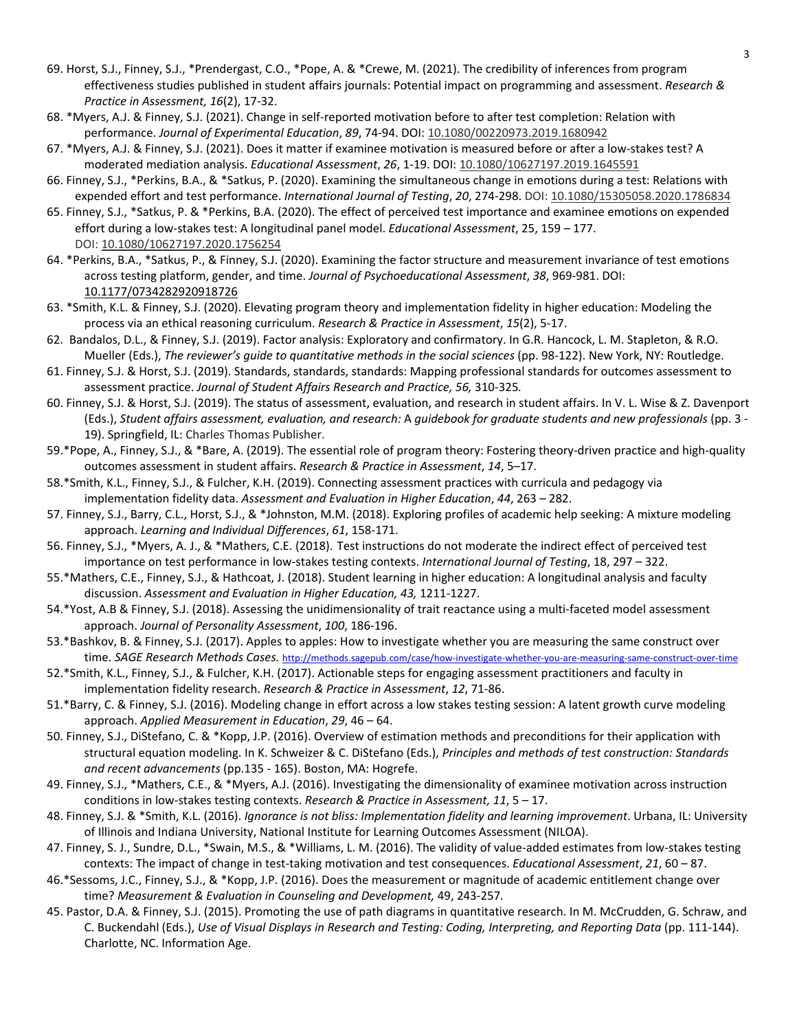- 69. Horst, S.J., Finney, S.J., \*Prendergast, C.O., \*Pope, A. & \*Crewe, M. (2021). The credibility of inferences from program effectiveness studies published in student affairs journals: Potential impact on programming and assessment. *Research & Practice in Assessment, 16*(2), 17-32.
- 68. \*Myers, A.J. & Finney, S.J. (2021). Change in self-reported motivation before to after test completion: Relation with performance. *Journal of Experimental Education*, *89*, 74-94. DOI[: 10.1080/00220973.2019.1680942](https://doi.org/10.1080/00220973.2019.1680942)
- 67. \*Myers, A.J. & Finney, S.J. (2021). Does it matter if examinee motivation is measured before or after a low-stakes test? A moderated mediation analysis. *Educational Assessment*, *26*, 1-19. DOI: [10.1080/10627197.2019.1645591](https://doi.org/10.1080/10627197.2019.1645591)
- 66. Finney, S.J., \*Perkins, B.A., & \*Satkus, P. (2020). Examining the simultaneous change in emotions during a test: Relations with expended effort and test performance. *International Journal of Testing*, *20*, 274-298. DOI: [10.1080/15305058.2020.1786834](https://doi.org/10.1080/15305058.2020.1786834)
- 65. Finney, S.J., \*Satkus, P. & \*Perkins, B.A. (2020). The effect of perceived test importance and examinee emotions on expended effort during a low-stakes test: A longitudinal panel model. *Educational Assessment*, 25, 159 – 177. DOI: [10.1080/10627197.2020.1756254](https://doi.org/10.1080/10627197.2020.1756254)
- 64. \*Perkins, B.A., \*Satkus, P., & Finney, S.J. (2020). Examining the factor structure and measurement invariance of test emotions across testing platform, gender, and time. *Journal of Psychoeducational Assessment*, *38*, 969-981. DOI: [10.1177/0734282920918726](https://doi.org/10.1177%2F0734282920918726)
- 63. \*Smith, K.L. & Finney, S.J. (2020). Elevating program theory and implementation fidelity in higher education: Modeling the process via an ethical reasoning curriculum. *Research & Practice in Assessment*, *15*(2), 5-17.
- 62. Bandalos, D.L., & Finney, S.J. (2019). Factor analysis: Exploratory and confirmatory. In G.R. Hancock, L. M. Stapleton, & R.O. Mueller (Eds.), The reviewer's guide to quantitative methods in the social sciences (pp. 98-122). New York, NY: Routledge.
- 61. Finney, S.J. & Horst, S.J. (2019). Standards, standards, standards: Mapping professional standards for outcomes assessment to assessment practice. *Journal of Student Affairs Research and Practice, 56,* 310-325*.*
- 60. Finney, S.J. & Horst, S.J. (2019). The status of assessment, evaluation, and research in student affairs. In V. L. Wise & Z. Davenport (Eds.), *Student affairs assessment, evaluation, and research:* A *guidebook for graduate students and new professionals* (pp. 3 - 19). Springfield, IL: Charles Thomas Publisher.
- 59.\*Pope, A., Finney, S.J., & \*Bare, A. (2019). The essential role of program theory: Fostering theory-driven practice and high-quality outcomes assessment in student affairs. *Research & Practice in Assessment*, *14*, 5–17.
- 58.\*Smith, K.L., Finney, S.J., & Fulcher, K.H. (2019). Connecting assessment practices with curricula and pedagogy via implementation fidelity data. *Assessment and Evaluation in Higher Education*, *44*, 263 – 282.
- 57. Finney, S.J., Barry, C.L., Horst, S.J., & \*Johnston, M.M. (2018). Exploring profiles of academic help seeking: A mixture modeling approach. *Learning and Individual Differences*, *61*, 158-171.
- 56. Finney, S.J., \*Myers, A. J., & \*Mathers, C.E. (2018). Test instructions do not moderate the indirect effect of perceived test importance on test performance in low-stakes testing contexts. *International Journal of Testing*, 18, 297 – 322.
- 55.\*Mathers, C.E., Finney, S.J., & Hathcoat, J. (2018). Student learning in higher education: A longitudinal analysis and faculty discussion. *Assessment and Evaluation in Higher Education, 43,* 1211-1227.
- 54.\*Yost, A.B & Finney, S.J. (2018). Assessing the unidimensionality of trait reactance using a multi-faceted model assessment approach. *Journal of Personality Assessment*, *100*, 186-196.
- 53.\*Bashkov, B. & Finney, S.J. (2017). Apples to apples: How to investigate whether you are measuring the same construct over time. *SAGE Research Methods Cases.* <http://methods.sagepub.com/case/how-investigate-whether-you-are-measuring-same-construct-over-time>
- 52.\*Smith, K.L., Finney, S.J., & Fulcher, K.H. (2017). Actionable steps for engaging assessment practitioners and faculty in implementation fidelity research. *Research & Practice in Assessment*, *12*, 71-86.
- 51.\*Barry, C. & Finney, S.J. (2016). Modeling change in effort across a low stakes testing session: A latent growth curve modeling approach. *Applied Measurement in Education*, *29*, 46 – 64.
- 50. Finney, S.J., DiStefano, C. & \*Kopp, J.P. (2016). Overview of estimation methods and preconditions for their application with structural equation modeling. In K. Schweizer & C. DiStefano (Eds.), *Principles and methods of test construction: Standards and recent advancements* (pp.135 - 165). Boston, MA: Hogrefe.
- 49. Finney, S.J., \*Mathers, C.E., & \*Myers, A.J. (2016). Investigating the dimensionality of examinee motivation across instruction conditions in low-stakes testing contexts. *Research & Practice in Assessment, 11*, 5 – 17.
- 48. Finney, S.J. & \*Smith, K.L. (2016). *Ignorance is not bliss: Implementation fidelity and learning improvement*. Urbana, IL: University of Illinois and Indiana University, National Institute for Learning Outcomes Assessment (NILOA).
- 47. Finney, S. J., Sundre, D.L., \*Swain, M.S., & \*Williams, L. M. (2016). The validity of value-added estimates from low-stakes testing contexts: The impact of change in test-taking motivation and test consequences. *Educational Assessment*, *21*, 60 – 87.
- 46.\*Sessoms, J.C., Finney, S.J., & \*Kopp, J.P. (2016). Does the measurement or magnitude of academic entitlement change over time? *Measurement & Evaluation in Counseling and Development,* 49, 243-257*.*
- 45. Pastor, D.A. & Finney, S.J. (2015). Promoting the use of path diagrams in quantitative research. In M. McCrudden, G. Schraw, and C. Buckendahl (Eds.), *Use of Visual Displays in Research and Testing: Coding, Interpreting, and Reporting Data* (pp. 111-144). Charlotte, NC. Information Age.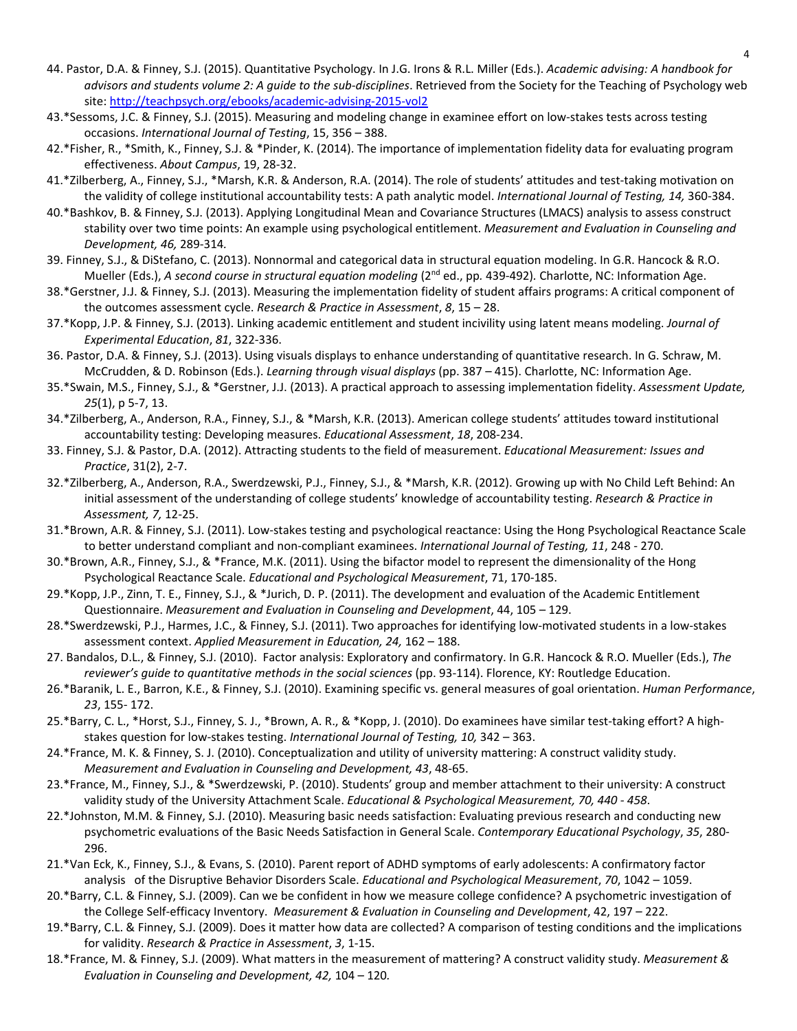- 44. Pastor, D.A. & Finney, S.J. (2015). Quantitative Psychology. In J.G. Irons & R.L. Miller (Eds.). *Academic advising: A handbook for advisors and students volume 2: A guide to the sub-disciplines*. Retrieved from the Society for the Teaching of Psychology web site[: http://teachpsych.org/ebooks/academic-advising-2015-vol2](http://teachpsych.org/ebooks/academic-advising-2015-vol2)
- 43.\*Sessoms, J.C. & Finney, S.J. (2015). Measuring and modeling change in examinee effort on low-stakes tests across testing occasions. *International Journal of Testing*, 15, 356 – 388.
- 42.\*Fisher, R., \*Smith, K., Finney, S.J. & \*Pinder, K. (2014). The importance of implementation fidelity data for evaluating program effectiveness. *About Campus*, 19, 28-32.
- 41.\*Zilberberg, A., Finney, S.J., \*Marsh, K.R. & Anderson, R.A. (2014). The role of students' attitudes and test-taking motivation on the validity of college institutional accountability tests: A path analytic model. *International Journal of Testing, 14,* 360-384.
- 40.\*Bashkov, B. & Finney, S.J. (2013). Applying Longitudinal Mean and Covariance Structures (LMACS) analysis to assess construct stability over two time points: An example using psychological entitlement. *Measurement and Evaluation in Counseling and Development, 46,* 289-314*.*
- 39. Finney, S.J., & DiStefano, C. (2013). Nonnormal and categorical data in structural equation modeling. In G.R. Hancock & R.O. Mueller (Eds.), A second course in structural equation modeling (2<sup>nd</sup> ed., pp. 439-492). Charlotte, NC: Information Age.
- 38.\*Gerstner, J.J. & Finney, S.J. (2013). Measuring the implementation fidelity of student affairs programs: A critical component of the outcomes assessment cycle. *Research & Practice in Assessment*, *8*, 15 – 28.
- 37.\*Kopp, J.P. & Finney, S.J. (2013). Linking academic entitlement and student incivility using latent means modeling. *Journal of Experimental Education*, *81*, 322-336.
- 36. Pastor, D.A. & Finney, S.J. (2013). Using visuals displays to enhance understanding of quantitative research. In G. Schraw, M. McCrudden, & D. Robinson (Eds.). *Learning through visual displays* (pp. 387 – 415). Charlotte, NC: Information Age.
- 35.\*Swain, M.S., Finney, S.J., & \*Gerstner, J.J. (2013). A practical approach to assessing implementation fidelity. *Assessment Update, 25*(1), p 5-7, 13.
- 34.\*Zilberberg, A., Anderson, R.A., Finney, S.J., & \*Marsh, K.R. (2013). American college students' attitudes toward institutional accountability testing: Developing measures. *Educational Assessment*, *18*, 208-234.
- 33. Finney, S.J. & Pastor, D.A. (2012). Attracting students to the field of measurement. *Educational Measurement: Issues and Practice*, 31(2), 2-7.
- 32.\*Zilberberg, A., Anderson, R.A., Swerdzewski, P.J., Finney, S.J., & \*Marsh, K.R. (2012). Growing up with No Child Left Behind: An initial assessment of the understanding of college students' knowledge of accountability testing. *Research & Practice in Assessment, 7,* 12-25.
- 31.\*Brown, A.R. & Finney, S.J. (2011). Low-stakes testing and psychological reactance: Using the Hong Psychological Reactance Scale to better understand compliant and non-compliant examinees. *International Journal of Testing, 11*, 248 - 270.
- 30.\*Brown, A.R., Finney, S.J., & \*France, M.K. (2011). Using the bifactor model to represent the dimensionality of the Hong Psychological Reactance Scale. *Educational and Psychological Measurement*, 71, 170-185.
- 29.\*Kopp, J.P., Zinn, T. E., Finney, S.J., & \*Jurich, D. P. (2011). The development and evaluation of the Academic Entitlement Questionnaire. *Measurement and Evaluation in Counseling and Development*, 44, 105 – 129.
- 28.\*Swerdzewski, P.J., Harmes, J.C., & Finney, S.J. (2011). Two approaches for identifying low-motivated students in a low-stakes assessment context. *Applied Measurement in Education, 24,* 162 – 188.
- 27. Bandalos, D.L., & Finney, S.J. (2010). Factor analysis: Exploratory and confirmatory. In G.R. Hancock & R.O. Mueller (Eds.), *The reviewer's guide to quantitative methods in the social sciences* (pp. 93-114). Florence, KY: Routledge Education.
- 26.\*Baranik, L. E., Barron, K.E., & Finney, S.J. (2010). Examining specific vs. general measures of goal orientation. *Human Performance*, *23*, 155- 172.
- 25.\*Barry, C. L., \*Horst, S.J., Finney, S. J., \*Brown, A. R., & \*Kopp, J. (2010). Do examinees have similar test-taking effort? A highstakes question for low-stakes testing. *International Journal of Testing, 10,* 342 – 363.
- 24.\*France, M. K. & Finney, S. J. (2010). Conceptualization and utility of university mattering: A construct validity study. *Measurement and Evaluation in Counseling and Development, 43*, 48-65.
- 23.\*France, M., Finney, S.J., & \*Swerdzewski, P. (2010). Students' group and member attachment to their university: A construct validity study of the University Attachment Scale. *Educational & Psychological Measurement, 70, 440 - 458*.
- 22.\*Johnston, M.M. & Finney, S.J. (2010). Measuring basic needs satisfaction: Evaluating previous research and conducting new psychometric evaluations of the Basic Needs Satisfaction in General Scale. *Contemporary Educational Psychology*, *35*, 280- 296.
- 21.\*Van Eck, K., Finney, S.J., & Evans, S. (2010). Parent report of ADHD symptoms of early adolescents: A confirmatory factor analysis of the Disruptive Behavior Disorders Scale. *Educational and Psychological Measurement*, *70*, 1042 – 1059.
- 20.\*Barry, C.L. & Finney, S.J. (2009). Can we be confident in how we measure college confidence? A psychometric investigation of the College Self-efficacy Inventory. *Measurement & Evaluation in Counseling and Development*, 42, 197 – 222.
- 19.\*Barry, C.L. & Finney, S.J. (2009). Does it matter how data are collected? A comparison of testing conditions and the implications for validity. *Research & Practice in Assessment*, *3*, 1-15.
- 18.\*France, M. & Finney, S.J. (2009). What matters in the measurement of mattering? A construct validity study. *Measurement & Evaluation in Counseling and Development, 42,* 104 – 120*.*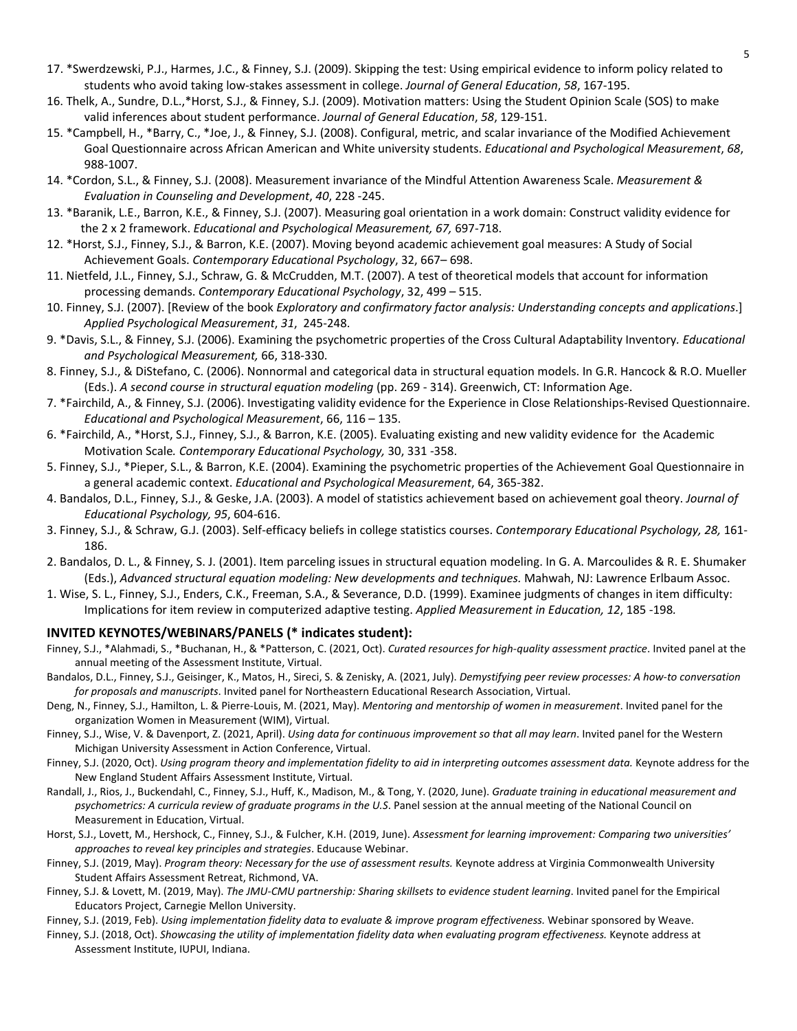- 17. \*Swerdzewski, P.J., Harmes, J.C., & Finney, S.J. (2009). Skipping the test: Using empirical evidence to inform policy related to students who avoid taking low-stakes assessment in college. *Journal of General Education*, *58*, 167-195.
- 16. Thelk, A., Sundre, D.L.,\*Horst, S.J., & Finney, S.J. (2009). Motivation matters: Using the Student Opinion Scale (SOS) to make valid inferences about student performance. *Journal of General Education*, *58*, 129-151.
- 15. \*Campbell, H., \*Barry, C., \*Joe, J., & Finney, S.J. (2008). Configural, metric, and scalar invariance of the Modified Achievement Goal Questionnaire across African American and White university students. *Educational and Psychological Measurement*, *68*, 988-1007.
- 14. \*Cordon, S.L., & Finney, S.J. (2008). Measurement invariance of the Mindful Attention Awareness Scale. *Measurement & Evaluation in Counseling and Development*, *40*, 228 -245.
- 13. \*Baranik, L.E., Barron, K.E., & Finney, S.J. (2007). Measuring goal orientation in a work domain: Construct validity evidence for the 2 x 2 framework. *Educational and Psychological Measurement, 67,* 697-718.
- 12. \*Horst, S.J., Finney, S.J., & Barron, K.E. (2007). Moving beyond academic achievement goal measures: A Study of Social Achievement Goals. *Contemporary Educational Psychology*, 32, 667– 698.
- 11. Nietfeld, J.L., Finney, S.J., Schraw, G. & McCrudden, M.T. (2007). A test of theoretical models that account for information processing demands. *Contemporary Educational Psychology*, 32, 499 – 515.
- 10. Finney, S.J. (2007). [Review of the book *Exploratory and confirmatory factor analysis: Understanding concepts and applications*.] *Applied Psychological Measurement*, *31*, 245-248.
- 9. \*Davis, S.L., & Finney, S.J. (2006). Examining the psychometric properties of the Cross Cultural Adaptability Inventory*. Educational and Psychological Measurement,* 66, 318-330.
- 8. Finney, S.J., & DiStefano, C. (2006). Nonnormal and categorical data in structural equation models. In G.R. Hancock & R.O. Mueller (Eds.). *A second course in structural equation modeling* (pp. 269 - 314). Greenwich, CT: Information Age.
- 7. \*Fairchild, A., & Finney, S.J. (2006). Investigating validity evidence for the Experience in Close Relationships-Revised Questionnaire. *Educational and Psychological Measurement*, 66, 116 – 135.
- 6. \*Fairchild, A., \*Horst, S.J., Finney, S.J., & Barron, K.E. (2005). Evaluating existing and new validity evidence for the Academic Motivation Scale*. Contemporary Educational Psychology,* 30, 331 -358.
- 5. Finney, S.J., \*Pieper, S.L., & Barron, K.E. (2004). Examining the psychometric properties of the Achievement Goal Questionnaire in a general academic context. *Educational and Psychological Measurement*, 64, 365-382.
- 4. Bandalos, D.L., Finney, S.J., & Geske, J.A. (2003). A model of statistics achievement based on achievement goal theory. *Journal of Educational Psychology, 95*, 604-616.
- 3. Finney, S.J., & Schraw, G.J. (2003). Self-efficacy beliefs in college statistics courses. *Contemporary Educational Psychology, 28,* 161- 186.
- 2. Bandalos, D. L., & Finney, S. J. (2001). Item parceling issues in structural equation modeling. In G. A. Marcoulides & R. E. Shumaker (Eds.), *Advanced structural equation modeling: New developments and techniques.* Mahwah, NJ: Lawrence Erlbaum Assoc.
- 1. Wise, S. L., Finney, S.J., Enders, C.K., Freeman, S.A., & Severance, D.D. (1999). Examinee judgments of changes in item difficulty: Implications for item review in computerized adaptive testing. *Applied Measurement in Education, 12*, 185 -198*.*

# **INVITED KEYNOTES/WEBINARS/PANELS (\* indicates student):**

- Finney, S.J., \*Alahmadi, S., \*Buchanan, H., & \*Patterson, C. (2021, Oct). *Curated resources for high-quality assessment practice*. Invited panel at the annual meeting of the Assessment Institute, Virtual.
- Bandalos, D.L., Finney, S.J., Geisinger, K., Matos, H., Sireci, S. & Zenisky, A. (2021, July). *Demystifying peer review processes: A how-to conversation for proposals and manuscripts*. Invited panel for Northeastern Educational Research Association, Virtual.
- Deng, N., Finney, S.J., Hamilton, L. & Pierre-Louis, M. (2021, May). *Mentoring and mentorship of women in measurement*. Invited panel for the organization Women in Measurement (WIM), Virtual.
- Finney, S.J., Wise, V. & Davenport, Z. (2021, April). *Using data for continuous improvement so that all may learn*. Invited panel for the Western Michigan University Assessment in Action Conference, Virtual.
- Finney, S.J. (2020, Oct). *Using program theory and implementation fidelity to aid in interpreting outcomes assessment data.* Keynote address for the New England Student Affairs Assessment Institute, Virtual.
- Randall, J., Rios, J., Buckendahl, C., Finney, S.J., Huff, K., Madison, M., & Tong, Y. (2020, June). *Graduate training in educational measurement and psychometrics: A curricula review of graduate programs in the U.S*. Panel session at the annual meeting of the National Council on Measurement in Education, Virtual.
- Horst, S.J., Lovett, M., Hershock, C., Finney, S.J., & Fulcher, K.H. (2019, June). *Assessment for learning improvement: Comparing two universities' approaches to reveal key principles and strategies*. Educause Webinar.
- Finney, S.J. (2019, May). *Program theory: Necessary for the use of assessment results.* Keynote address at Virginia Commonwealth University Student Affairs Assessment Retreat, Richmond, VA.
- Finney, S.J. & Lovett, M. (2019, May). *The JMU-CMU partnership: Sharing skillsets to evidence student learning*. Invited panel for the Empirical Educators Project, Carnegie Mellon University.
- Finney, S.J. (2019, Feb). *Using implementation fidelity data to evaluate & improve program effectiveness.* Webinar sponsored by Weave.
- Finney, S.J. (2018, Oct). *Showcasing the utility of implementation fidelity data when evaluating program effectiveness.* Keynote address at Assessment Institute, IUPUI, Indiana.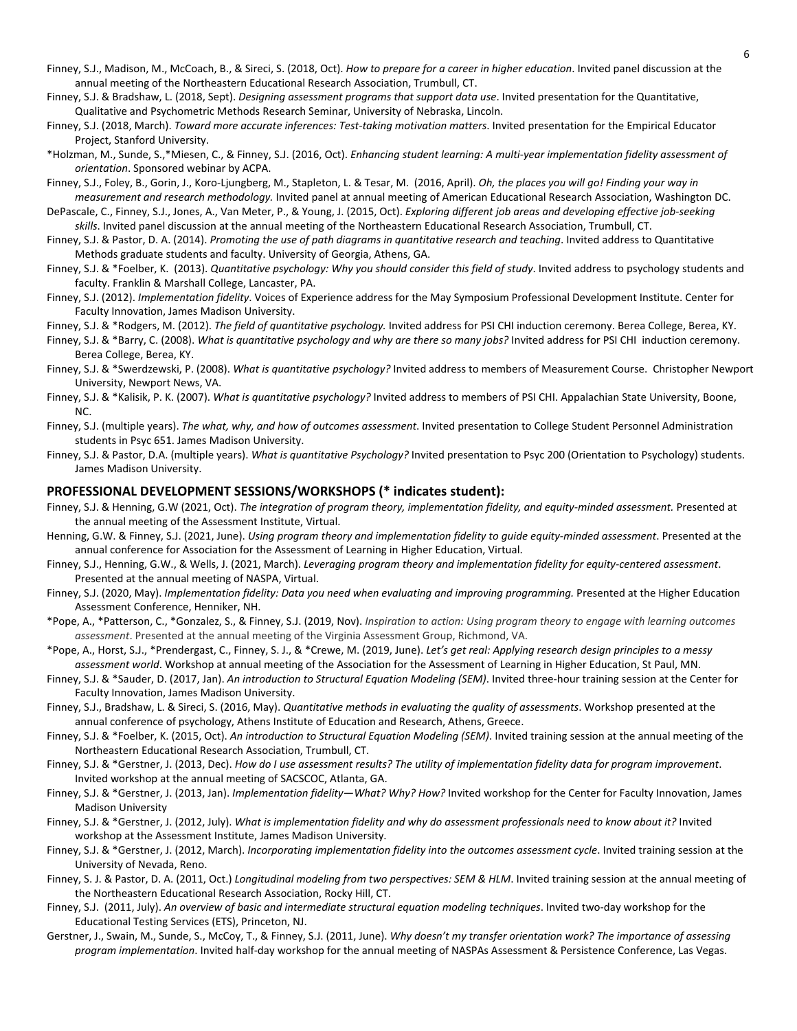- Finney, S.J., Madison, M., McCoach, B., & Sireci, S. (2018, Oct). *How to prepare for a career in higher education*. Invited panel discussion at the annual meeting of the Northeastern Educational Research Association, Trumbull, CT.
- Finney, S.J. & Bradshaw, L. (2018, Sept). *Designing assessment programs that support data use*. Invited presentation for the Quantitative, Qualitative and Psychometric Methods Research Seminar, University of Nebraska, Lincoln.
- Finney, S.J. (2018, March). *Toward more accurate inferences: Test-taking motivation matters*. Invited presentation for the Empirical Educator Project, Stanford University.
- \*Holzman, M., Sunde, S.,\*Miesen, C., & Finney, S.J. (2016, Oct). *Enhancing student learning: A multi-year implementation fidelity assessment of orientation*. Sponsored webinar by ACPA.
- Finney, S.J., Foley, B., Gorin, J., Koro-Ljungberg, M., Stapleton, L. & Tesar, M. (2016, April). *Oh, the places you will go! Finding your way in measurement and research methodology.* Invited panel at annual meeting of American Educational Research Association, Washington DC.
- DePascale, C., Finney, S.J., Jones, A., Van Meter, P., & Young, J. (2015, Oct). *Exploring different job areas and developing effective job-seeking skills*. Invited panel discussion at the annual meeting of the Northeastern Educational Research Association, Trumbull, CT.
- Finney, S.J. & Pastor, D. A. (2014). *Promoting the use of path diagrams in quantitative research and teaching*. Invited address to Quantitative Methods graduate students and faculty. University of Georgia, Athens, GA.
- Finney, S.J. & \*Foelber, K. (2013). *Quantitative psychology: Why you should consider this field of study*. Invited address to psychology students and faculty. Franklin & Marshall College, Lancaster, PA.
- Finney, S.J. (2012). *Implementation fidelity*. Voices of Experience address for the May Symposium Professional Development Institute. Center for Faculty Innovation, James Madison University.
- Finney, S.J. & \*Rodgers, M. (2012). *The field of quantitative psychology.* Invited address for PSI CHI induction ceremony. Berea College, Berea, KY.
- Finney, S.J. & \*Barry, C. (2008). *What is quantitative psychology and why are there so many jobs?* Invited address for PSI CHI induction ceremony. Berea College, Berea, KY.
- Finney, S.J. & \*Swerdzewski, P. (2008). *What is quantitative psychology?* Invited address to members of Measurement Course. Christopher Newport University, Newport News, VA.
- Finney, S.J. & \*Kalisik, P. K. (2007). *What is quantitative psychology?* Invited address to members of PSI CHI. Appalachian State University, Boone, NC.
- Finney, S.J. (multiple years). *The what, why, and how of outcomes assessment*. Invited presentation to College Student Personnel Administration students in Psyc 651. James Madison University.
- Finney, S.J. & Pastor, D.A. (multiple years). *What is quantitative Psychology?* Invited presentation to Psyc 200 (Orientation to Psychology) students. James Madison University.

#### **PROFESSIONAL DEVELOPMENT SESSIONS/WORKSHOPS (\* indicates student):**

- Finney, S.J. & Henning, G.W (2021, Oct). *The integration of program theory, implementation fidelity, and equity-minded assessment.* Presented at the annual meeting of the Assessment Institute, Virtual.
- Henning, G.W. & Finney, S.J. (2021, June). *Using program theory and implementation fidelity to guide equity-minded assessment*. Presented at the annual conference for Association for the Assessment of Learning in Higher Education, Virtual.
- Finney, S.J., Henning, G.W., & Wells, J. (2021, March). *Leveraging program theory and implementation fidelity for equity-centered assessment*. Presented at the annual meeting of NASPA, Virtual.
- Finney, S.J. (2020, May). *Implementation fidelity: Data you need when evaluating and improving programming.* Presented at the Higher Education Assessment Conference, Henniker, NH.
- \*Pope, A., \*Patterson, C., \*Gonzalez, S., & Finney, S.J. (2019, Nov). *Inspiration to action: Using program theory to engage with learning outcomes assessment*. Presented at the annual meeting of the Virginia Assessment Group, Richmond, VA.
- \*Pope, A., Horst, S.J., \*Prendergast, C., Finney, S. J., & \*Crewe, M. (2019, June). *Let's get real: Applying research design principles to a messy assessment world*. Workshop at annual meeting of the Association for the Assessment of Learning in Higher Education, St Paul, MN.
- Finney, S.J. & \*Sauder, D. (2017, Jan). *An introduction to Structural Equation Modeling (SEM)*. Invited three-hour training session at the Center for Faculty Innovation, James Madison University.
- Finney, S.J., Bradshaw, L. & Sireci, S. (2016, May). *Quantitative methods in evaluating the quality of assessments*. Workshop presented at the annual conference of psychology, Athens Institute of Education and Research, Athens, Greece.
- Finney, S.J. & \*Foelber, K. (2015, Oct). *An introduction to Structural Equation Modeling (SEM)*. Invited training session at the annual meeting of the Northeastern Educational Research Association, Trumbull, CT.
- Finney, S.J. & \*Gerstner, J. (2013, Dec). *How do I use assessment results? The utility of implementation fidelity data for program improvement*. Invited workshop at the annual meeting of SACSCOC, Atlanta, GA.
- Finney, S.J. & \*Gerstner, J. (2013, Jan). *Implementation fidelity—What? Why? How?* Invited workshop for the Center for Faculty Innovation, James Madison University
- Finney, S.J. & \*Gerstner, J. (2012, July). *What is implementation fidelity and why do assessment professionals need to know about it?* Invited workshop at the Assessment Institute, James Madison University.
- Finney, S.J. & \*Gerstner, J. (2012, March). *Incorporating implementation fidelity into the outcomes assessment cycle*. Invited training session at the University of Nevada, Reno.
- Finney, S. J. & Pastor, D. A. (2011, Oct.) *Longitudinal modeling from two perspectives: SEM & HLM*. Invited training session at the annual meeting of the Northeastern Educational Research Association, Rocky Hill, CT.
- Finney, S.J. (2011, July). *An overview of basic and intermediate structural equation modeling techniques*. Invited two-day workshop for the Educational Testing Services (ETS), Princeton, NJ.
- Gerstner, J., Swain, M., Sunde, S., McCoy, T., & Finney, S.J. (2011, June). *Why doesn't my transfer orientation work? The importance of assessing program implementation*. Invited half-day workshop for the annual meeting of NASPAs Assessment & Persistence Conference, Las Vegas.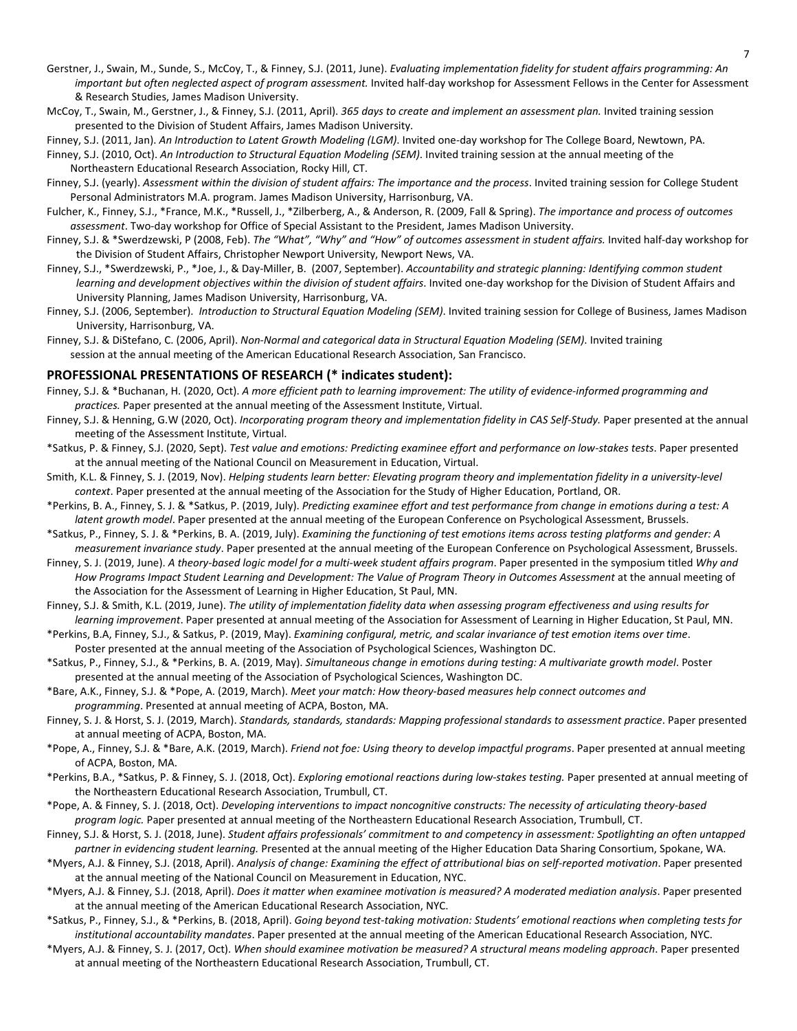- Gerstner, J., Swain, M., Sunde, S., McCoy, T., & Finney, S.J. (2011, June). *Evaluating implementation fidelity for student affairs programming: An important but often neglected aspect of program assessment.* Invited half-day workshop for Assessment Fellows in the Center for Assessment & Research Studies, James Madison University.
- McCoy, T., Swain, M., Gerstner, J., & Finney, S.J. (2011, April). *365 days to create and implement an assessment plan.* Invited training session presented to the Division of Student Affairs, James Madison University.
- Finney, S.J. (2011, Jan). *An Introduction to Latent Growth Modeling (LGM)*. Invited one-day workshop for The College Board, Newtown, PA.
- Finney, S.J. (2010, Oct). *An Introduction to Structural Equation Modeling (SEM)*. Invited training session at the annual meeting of the Northeastern Educational Research Association, Rocky Hill, CT.
- Finney, S.J. (yearly). *Assessment within the division of student affairs: The importance and the process*. Invited training session for College Student Personal Administrators M.A. program. James Madison University, Harrisonburg, VA.
- Fulcher, K., Finney, S.J., \*France, M.K., \*Russell, J., \*Zilberberg, A., & Anderson, R. (2009, Fall & Spring). *The importance and process of outcomes assessment*. Two-day workshop for Office of Special Assistant to the President, James Madison University.
- Finney, S.J. & \*Swerdzewski, P (2008, Feb). *The "What", "Why" and "How" of outcomes assessment in student affairs.* Invited half-day workshop for the Division of Student Affairs, Christopher Newport University, Newport News, VA.
- Finney, S.J., \*Swerdzewski, P., \*Joe, J., & Day-Miller, B. (2007, September). *Accountability and strategic planning: Identifying common student learning and development objectives within the division of student affairs*. Invited one-day workshop for the Division of Student Affairs and University Planning, James Madison University, Harrisonburg, VA.
- Finney, S.J. (2006, September). *Introduction to Structural Equation Modeling (SEM)*. Invited training session for College of Business, James Madison University, Harrisonburg, VA.
- Finney, S.J. & DiStefano, C. (2006, April). *Non-Normal and categorical data in Structural Equation Modeling (SEM)*. Invited training session at the annual meeting of the American Educational Research Association, San Francisco.

#### **PROFESSIONAL PRESENTATIONS OF RESEARCH (\* indicates student):**

- Finney, S.J. & \*Buchanan, H. (2020, Oct). *A more efficient path to learning improvement: The utility of evidence-informed programming and practices.* Paper presented at the annual meeting of the Assessment Institute, Virtual.
- Finney, S.J. & Henning, G.W (2020, Oct). *Incorporating program theory and implementation fidelity in CAS Self-Study.* Paper presented at the annual meeting of the Assessment Institute, Virtual.
- \*Satkus, P. & Finney, S.J. (2020, Sept). *Test value and emotions: Predicting examinee effort and performance on low-stakes tests*. Paper presented at the annual meeting of the National Council on Measurement in Education, Virtual.
- Smith, K.L. & Finney, S. J. (2019, Nov). *Helping students learn better: Elevating program theory and implementation fidelity in a university-level context*. Paper presented at the annual meeting of the Association for the Study of Higher Education, Portland, OR.
- \*Perkins, B. A., Finney, S. J. & \*Satkus, P. (2019, July). *Predicting examinee effort and test performance from change in emotions during a test: A latent growth model*. Paper presented at the annual meeting of the European Conference on Psychological Assessment, Brussels.
- \*Satkus, P., Finney, S. J. & \*Perkins, B. A. (2019, July). *Examining the functioning of test emotions items across testing platforms and gender: A measurement invariance study*. Paper presented at the annual meeting of the European Conference on Psychological Assessment, Brussels.
- Finney, S. J. (2019, June). *A theory-based logic model for a multi-week student affairs program*. Paper presented in the symposium titled *Why and How Programs Impact Student Learning and Development: The Value of Program Theory in Outcomes Assessment* at the annual meeting of the Association for the Assessment of Learning in Higher Education, St Paul, MN.
- Finney, S.J. & Smith, K.L. (2019, June). *The utility of implementation fidelity data when assessing program effectiveness and using results for learning improvement*. Paper presented at annual meeting of the Association for Assessment of Learning in Higher Education, St Paul, MN.
- \*Perkins, B.A, Finney, S.J., & Satkus, P. (2019, May). *Examining configural, metric, and scalar invariance of test emotion items over time*.
- Poster presented at the annual meeting of the Association of Psychological Sciences, Washington DC. \*Satkus, P., Finney, S.J., & \*Perkins, B. A. (2019, May). *Simultaneous change in emotions during testing: A multivariate growth model*. Poster
- presented at the annual meeting of the Association of Psychological Sciences, Washington DC.
- \*Bare, A.K., Finney, S.J. & \*Pope, A. (2019, March). *Meet your match: How theory-based measures help connect outcomes and programming*. Presented at annual meeting of ACPA, Boston, MA.
- Finney, S. J. & Horst, S. J. (2019, March). *Standards, standards, standards: Mapping professional standards to assessment practice*. Paper presented at annual meeting of ACPA, Boston, MA.
- \*Pope, A., Finney, S.J. & \*Bare, A.K. (2019, March). *Friend not foe: Using theory to develop impactful programs*. Paper presented at annual meeting of ACPA, Boston, MA.
- \*Perkins, B.A., \*Satkus, P. & Finney, S. J. (2018, Oct). *Exploring emotional reactions during low-stakes testing.* Paper presented at annual meeting of the Northeastern Educational Research Association, Trumbull, CT.
- \*Pope, A. & Finney, S. J. (2018, Oct). *Developing interventions to impact noncognitive constructs: The necessity of articulating theory-based program logic.* Paper presented at annual meeting of the Northeastern Educational Research Association, Trumbull, CT.
- Finney, S.J. & Horst, S. J. (2018, June). *Student affairs professionals' commitment to and competency in assessment: Spotlighting an often untapped partner in evidencing student learning.* Presented at the annual meeting of the Higher Education Data Sharing Consortium, Spokane, WA.
- \*Myers, A.J. & Finney, S.J. (2018, April). *Analysis of change: Examining the effect of attributional bias on self-reported motivation*. Paper presented at the annual meeting of the National Council on Measurement in Education, NYC.
- \*Myers, A.J. & Finney, S.J. (2018, April). *Does it matter when examinee motivation is measured? A moderated mediation analysis*. Paper presented at the annual meeting of the American Educational Research Association, NYC.
- \*Satkus, P., Finney, S.J., & \*Perkins, B. (2018, April). *Going beyond test-taking motivation: Students' emotional reactions when completing tests for institutional accountability mandates*. Paper presented at the annual meeting of the American Educational Research Association, NYC.
- \*Myers, A.J. & Finney, S. J. (2017, Oct). *When should examinee motivation be measured? A structural means modeling approach*. Paper presented at annual meeting of the Northeastern Educational Research Association, Trumbull, CT.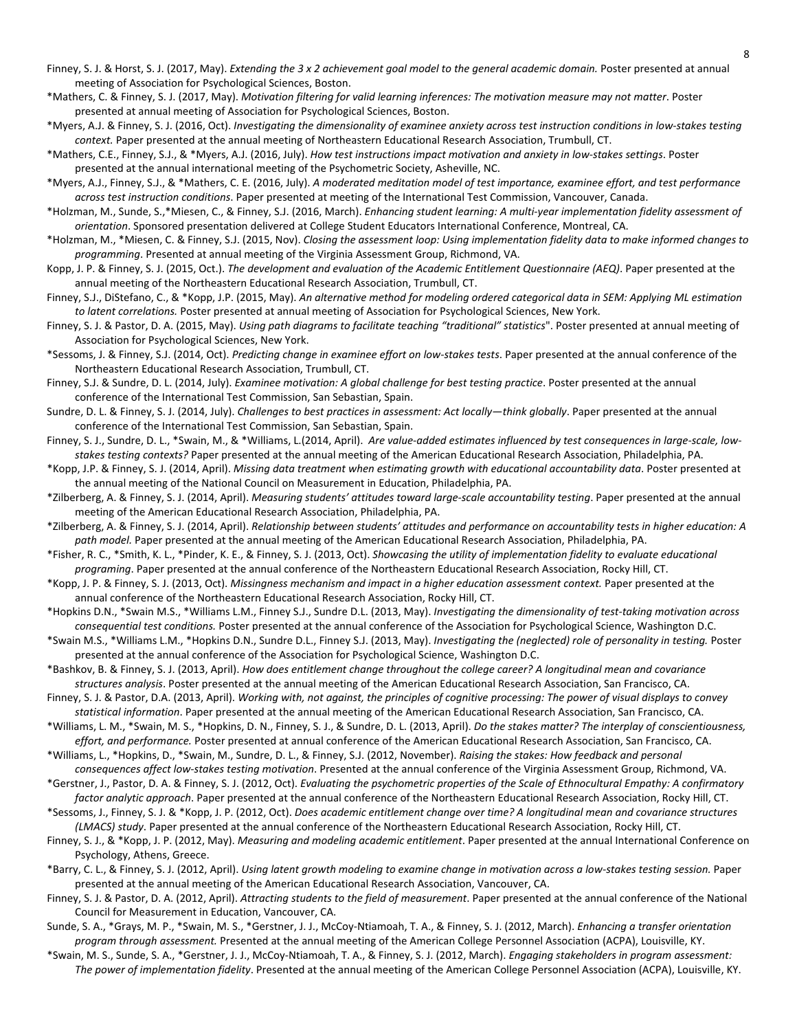- Finney, S. J. & Horst, S. J. (2017, May). *Extending the 3 x 2 achievement goal model to the general academic domain*. Poster presented at annual meeting of Association for Psychological Sciences, Boston.
- \*Mathers, C. & Finney, S. J. (2017, May). *Motivation filtering for valid learning inferences: The motivation measure may not matter*. Poster presented at annual meeting of Association for Psychological Sciences, Boston.
- \*Myers, A.J. & Finney, S. J. (2016, Oct). *Investigating the dimensionality of examinee anxiety across test instruction conditions in low-stakes testing context.* Paper presented at the annual meeting of Northeastern Educational Research Association, Trumbull, CT.
- \*Mathers, C.E., Finney, S.J., & \*Myers, A.J. (2016, July). *How test instructions impact motivation and anxiety in low-stakes settings*. Poster presented at the annual international meeting of the Psychometric Society, Asheville, NC.
- \*Myers, A.J., Finney, S.J., & \*Mathers, C. E. (2016, July). *A moderated meditation model of test importance, examinee effort, and test performance across test instruction conditions*. Paper presented at meeting of the International Test Commission, Vancouver, Canada.
- \*Holzman, M., Sunde, S.,\*Miesen, C., & Finney, S.J. (2016, March). *Enhancing student learning: A multi-year implementation fidelity assessment of orientation*. Sponsored presentation delivered at College Student Educators International Conference, Montreal, CA.
- \*Holzman, M., \*Miesen, C. & Finney, S.J. (2015, Nov). *Closing the assessment loop: Using implementation fidelity data to make informed changes to programming*. Presented at annual meeting of the Virginia Assessment Group, Richmond, VA.
- Kopp, J. P. & Finney, S. J. (2015, Oct.). *The development and evaluation of the Academic Entitlement Questionnaire (AEQ)*. Paper presented at the annual meeting of the Northeastern Educational Research Association, Trumbull, CT.
- Finney, S.J., DiStefano, C., & \*Kopp, J.P. (2015, May). *An alternative method for modeling ordered categorical data in SEM: Applying ML estimation to latent correlations.* Poster presented at annual meeting of Association for Psychological Sciences, New York.
- Finney, S. J. & Pastor, D. A. (2015, May). *Using path diagrams to facilitate teaching "traditional" statistics*". Poster presented at annual meeting of Association for Psychological Sciences, New York.
- \*Sessoms, J. & Finney, S.J. (2014, Oct). *Predicting change in examinee effort on low-stakes tests*. Paper presented at the annual conference of the Northeastern Educational Research Association, Trumbull, CT.
- Finney, S.J. & Sundre, D. L. (2014, July). *Examinee motivation: A global challenge for best testing practice*. Poster presented at the annual conference of the International Test Commission, San Sebastian, Spain.
- Sundre, D. L. & Finney, S. J. (2014, July). *Challenges to best practices in assessment: Act locally—think globally*. Paper presented at the annual conference of the International Test Commission, San Sebastian, Spain.
- Finney, S. J., Sundre, D. L., \*Swain, M., & \*Williams, L.(2014, April). *Are value-added estimates influenced by test consequences in large-scale, lowstakes testing contexts?* Paper presented at the annual meeting of the American Educational Research Association, Philadelphia, PA.
- \*Kopp, J.P. & Finney, S. J. (2014, April). *Missing data treatment when estimating growth with educational accountability data*. Poster presented at the annual meeting of the National Council on Measurement in Education, Philadelphia, PA.
- \*Zilberberg, A. & Finney, S. J. (2014, April). *Measuring students' attitudes toward large-scale accountability testing*. Paper presented at the annual meeting of the American Educational Research Association, Philadelphia, PA.
- \*Zilberberg, A. & Finney, S. J. (2014, April). *Relationship between students' attitudes and performance on accountability tests in higher education: A path model.* Paper presented at the annual meeting of the American Educational Research Association, Philadelphia, PA.
- \*Fisher, R. C., \*Smith, K. L., \*Pinder, K. E., & Finney, S. J. (2013, Oct). *Showcasing the utility of implementation fidelity to evaluate educational programing*. Paper presented at the annual conference of the Northeastern Educational Research Association, Rocky Hill, CT.
- \*Kopp, J. P. & Finney, S. J. (2013, Oct). *Missingness mechanism and impact in a higher education assessment context.* Paper presented at the annual conference of the Northeastern Educational Research Association, Rocky Hill, CT.
- \*Hopkins D.N., \*Swain M.S., \*Williams L.M., Finney S.J., Sundre D.L. (2013, May). *Investigating the dimensionality of test-taking motivation across consequential test conditions.* Poster presented at the annual conference of the Association for Psychological Science, Washington D.C.
- \*Swain M.S., \*Williams L.M., \*Hopkins D.N., Sundre D.L., Finney S.J. (2013, May). *Investigating the (neglected) role of personality in testing.* Poster presented at the annual conference of the Association for Psychological Science, Washington D.C.
- \*Bashkov, B. & Finney, S. J. (2013, April). *How does entitlement change throughout the college career? A longitudinal mean and covariance structures analysis*. Poster presented at the annual meeting of the American Educational Research Association, San Francisco, CA.
- Finney, S. J. & Pastor, D.A. (2013, April). *Working with, not against, the principles of cognitive processing: The power of visual displays to convey statistical information*. Paper presented at the annual meeting of the American Educational Research Association, San Francisco, CA.
- \*Williams, L. M., \*Swain, M. S., \*Hopkins, D. N., Finney, S. J., & Sundre, D. L. (2013, April). *Do the stakes matter? The interplay of conscientiousness, effort, and performance.* Poster presented at annual conference of the American Educational Research Association, San Francisco, CA.
- \*Williams, L., \*Hopkins, D., \*Swain, M., Sundre, D. L., & Finney, S.J. (2012, November). *Raising the stakes: How feedback and personal consequences affect low-stakes testing motivation*. Presented at the annual conference of the Virginia Assessment Group, Richmond, VA.
- \*Gerstner, J., Pastor, D. A. & Finney, S. J. (2012, Oct). *Evaluating the psychometric properties of the Scale of Ethnocultural Empathy: A confirmatory factor analytic approach*. Paper presented at the annual conference of the Northeastern Educational Research Association, Rocky Hill, CT.
- \*Sessoms, J., Finney, S. J. & \*Kopp, J. P. (2012, Oct). *Does academic entitlement change over time? A longitudinal mean and covariance structures (LMACS) study*. Paper presented at the annual conference of the Northeastern Educational Research Association, Rocky Hill, CT.
- Finney, S. J., & \*Kopp, J. P. (2012, May). *Measuring and modeling academic entitlement*. Paper presented at the annual International Conference on Psychology, Athens, Greece.
- \*Barry, C. L., & Finney, S. J. (2012, April). *Using latent growth modeling to examine change in motivation across a low-stakes testing session.* Paper presented at the annual meeting of the American Educational Research Association, Vancouver, CA.
- Finney, S. J. & Pastor, D. A. (2012, April). *Attracting students to the field of measurement*. Paper presented at the annual conference of the National Council for Measurement in Education, Vancouver, CA.
- Sunde, S. A., \*Grays, M. P., \*Swain, M. S., \*Gerstner, J. J., McCoy-Ntiamoah, T. A., & Finney, S. J. (2012, March). *Enhancing a transfer orientation program through assessment.* Presented at the annual meeting of the American College Personnel Association (ACPA), Louisville, KY.
- \*Swain, M. S., Sunde, S. A., \*Gerstner, J. J., McCoy-Ntiamoah, T. A., & Finney, S. J. (2012, March). *Engaging stakeholders in program assessment: The power of implementation fidelity*. Presented at the annual meeting of the American College Personnel Association (ACPA), Louisville, KY.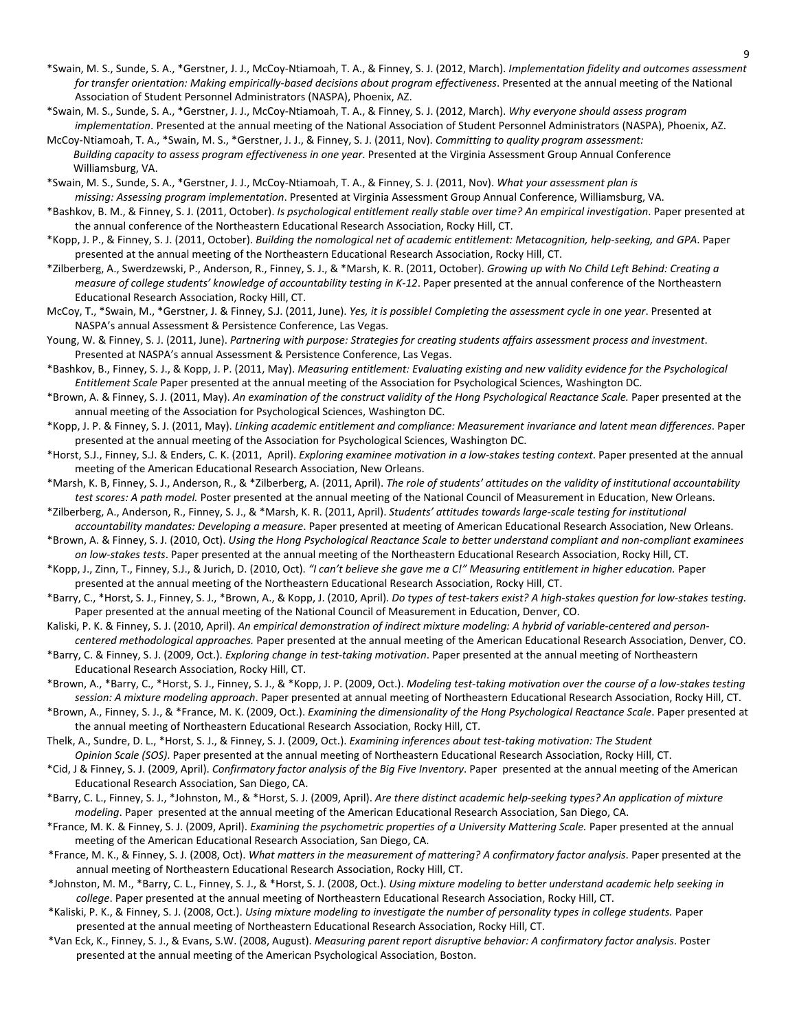- \*Swain, M. S., Sunde, S. A., \*Gerstner, J. J., McCoy-Ntiamoah, T. A., & Finney, S. J. (2012, March). *Implementation fidelity and outcomes assessment for transfer orientation: Making empirically-based decisions about program effectiveness*. Presented at the annual meeting of the National Association of Student Personnel Administrators (NASPA), Phoenix, AZ.
- \*Swain, M. S., Sunde, S. A., \*Gerstner, J. J., McCoy-Ntiamoah, T. A., & Finney, S. J. (2012, March). *Why everyone should assess program implementation*. Presented at the annual meeting of the National Association of Student Personnel Administrators (NASPA), Phoenix, AZ.
- McCoy-Ntiamoah, T. A., \*Swain, M. S., \*Gerstner, J. J., & Finney, S. J. (2011, Nov). *Committing to quality program assessment: Building capacity to assess program effectiveness in one year*. Presented at the Virginia Assessment Group Annual Conference Williamsburg, VA.
- \*Swain, M. S., Sunde, S. A., \*Gerstner, J. J., McCoy-Ntiamoah, T. A., & Finney, S. J. (2011, Nov). *What your assessment plan is missing: Assessing program implementation*. Presented at Virginia Assessment Group Annual Conference, Williamsburg, VA.
- \*Bashkov, B. M., & Finney, S. J. (2011, October). *Is psychological entitlement really stable over time? An empirical investigation*. Paper presented at the annual conference of the Northeastern Educational Research Association, Rocky Hill, CT.
- \*Kopp, J. P., & Finney, S. J. (2011, October). *Building the nomological net of academic entitlement: Metacognition, help-seeking, and GPA*. Paper presented at the annual meeting of the Northeastern Educational Research Association, Rocky Hill, CT.
- \*Zilberberg, A., Swerdzewski, P., Anderson, R., Finney, S. J., & \*Marsh, K. R. (2011, October). *Growing up with No Child Left Behind: Creating a measure of college students' knowledge of accountability testing in K-12*. Paper presented at the annual conference of the Northeastern Educational Research Association, Rocky Hill, CT.
- McCoy, T., \*Swain, M., \*Gerstner, J. & Finney, S.J. (2011, June). *Yes, it is possible! Completing the assessment cycle in one year*. Presented at NASPA's annual Assessment & Persistence Conference, Las Vegas.
- Young, W. & Finney, S. J. (2011, June). *Partnering with purpose: Strategies for creating students affairs assessment process and investment*. Presented at NASPA's annual Assessment & Persistence Conference, Las Vegas.
- \*Bashkov, B., Finney, S. J., & Kopp, J. P. (2011, May). *Measuring entitlement: Evaluating existing and new validity evidence for the Psychological Entitlement Scale* Paper presented at the annual meeting of the Association for Psychological Sciences, Washington DC.
- \*Brown, A. & Finney, S. J. (2011, May). *An examination of the construct validity of the Hong Psychological Reactance Scale.* Paper presented at the annual meeting of the Association for Psychological Sciences, Washington DC.
- \*Kopp, J. P. & Finney, S. J. (2011, May). *Linking academic entitlement and compliance: Measurement invariance and latent mean differences*. Paper presented at the annual meeting of the Association for Psychological Sciences, Washington DC.
- \*Horst, S.J., Finney, S.J. & Enders, C. K. (2011, April). *Exploring examinee motivation in a low-stakes testing context*. Paper presented at the annual meeting of the American Educational Research Association, New Orleans.
- \*Marsh, K. B, Finney, S. J., Anderson, R., & \*Zilberberg, A. (2011, April). *The role of students' attitudes on the validity of institutional accountability test scores: A path model.* Poster presented at the annual meeting of the National Council of Measurement in Education, New Orleans.
- \*Zilberberg, A., Anderson, R., Finney, S. J., & \*Marsh, K. R. (2011, April). *Students' attitudes towards large-scale testing for institutional accountability mandates: Developing a measure*. Paper presented at meeting of American Educational Research Association, New Orleans.
- \*Brown, A. & Finney, S. J. (2010, Oct). *Using the Hong Psychological Reactance Scale to better understand compliant and non-compliant examinees on low-stakes tests*. Paper presented at the annual meeting of the Northeastern Educational Research Association, Rocky Hill, CT.
- \*Kopp, J., Zinn, T., Finney, S.J., & Jurich, D. (2010, Oct). *"I can't believe she gave me a C!" Measuring entitlement in higher education.* Paper presented at the annual meeting of the Northeastern Educational Research Association, Rocky Hill, CT.
- \*Barry, C., \*Horst, S. J., Finney, S. J., \*Brown, A., & Kopp, J. (2010, April). *Do types of test-takers exist? A high-stakes question for low-stakes testing.* Paper presented at the annual meeting of the National Council of Measurement in Education, Denver, CO.
- Kaliski, P. K. & Finney, S. J. (2010, April). *An empirical demonstration of indirect mixture modeling: A hybrid of variable-centered and person-*
- *centered methodological approaches.* Paper presented at the annual meeting of the American Educational Research Association, Denver, CO. \*Barry, C. & Finney, S. J. (2009, Oct.). *Exploring change in test-taking motivation*. Paper presented at the annual meeting of Northeastern Educational Research Association, Rocky Hill, CT.
- \*Brown, A., \*Barry, C., \*Horst, S. J., Finney, S. J., & \*Kopp, J. P. (2009, Oct.). *Modeling test-taking motivation over the course of a low-stakes testing session: A mixture modeling approach*. Paper presented at annual meeting of Northeastern Educational Research Association, Rocky Hill, CT.
- \*Brown, A., Finney, S. J., & \*France, M. K. (2009, Oct.). *Examining the dimensionality of the Hong Psychological Reactance Scale*. Paper presented at the annual meeting of Northeastern Educational Research Association, Rocky Hill, CT.
- Thelk, A., Sundre, D. L., \*Horst, S. J., & Finney, S. J. (2009, Oct.). *Examining inferences about test-taking motivation: The Student Opinion Scale (SOS)*. Paper presented at the annual meeting of Northeastern Educational Research Association, Rocky Hill, CT.
- \*Cid, J & Finney, S. J. (2009, April). *Confirmatory factor analysis of the Big Five Inventory*. Paper presented at the annual meeting of the American Educational Research Association, San Diego, CA.
- \*Barry, C. L., Finney, S. J., \*Johnston, M., & \*Horst, S. J. (2009, April). *Are there distinct academic help-seeking types? An application of mixture modeling*. Paper presented at the annual meeting of the American Educational Research Association, San Diego, CA.
- \*France, M. K. & Finney, S. J. (2009, April). *Examining the psychometric properties of a University Mattering Scale.* Paper presented at the annual meeting of the American Educational Research Association, San Diego, CA.
- \*France, M. K., & Finney, S. J. (2008, Oct). *What matters in the measurement of mattering? A confirmatory factor analysis*. Paper presented at the annual meeting of Northeastern Educational Research Association, Rocky Hill, CT.
- \*Johnston, M. M., \*Barry, C. L., Finney, S. J., & \*Horst, S. J. (2008, Oct.). *Using mixture modeling to better understand academic help seeking in college*. Paper presented at the annual meeting of Northeastern Educational Research Association, Rocky Hill, CT.
- \*Kaliski, P. K., & Finney, S. J. (2008, Oct.). *Using mixture modeling to investigate the number of personality types in college students.* Paper presented at the annual meeting of Northeastern Educational Research Association, Rocky Hill, CT.
- \*Van Eck, K., Finney, S. J., & Evans, S.W. (2008, August). *Measuring parent report disruptive behavior: A confirmatory factor analysis*. Poster presented at the annual meeting of the American Psychological Association, Boston.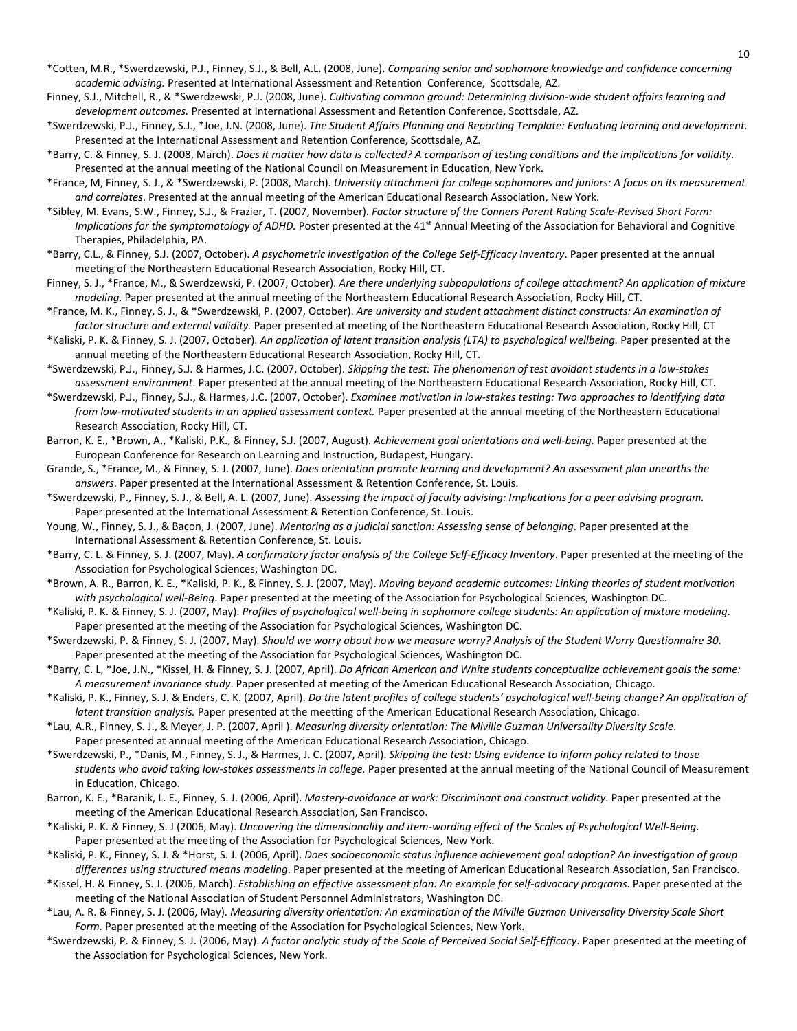- \*Cotten, M.R., \*Swerdzewski, P.J., Finney, S.J., & Bell, A.L. (2008, June). *Comparing senior and sophomore knowledge and confidence concerning academic advising.* Presented at International Assessment and Retention Conference, Scottsdale, AZ.
- Finney, S.J., Mitchell, R., & \*Swerdzewski, P.J. (2008, June). *Cultivating common ground: Determining division-wide student affairs learning and development outcomes.* Presented at International Assessment and Retention Conference, Scottsdale, AZ.
- \*Swerdzewski, P.J., Finney, S.J., \*Joe, J.N. (2008, June). *The Student Affairs Planning and Reporting Template: Evaluating learning and development.* Presented at the International Assessment and Retention Conference, Scottsdale, AZ.
- \*Barry, C. & Finney, S. J. (2008, March). *Does it matter how data is collected? A comparison of testing conditions and the implications for validity*. Presented at the annual meeting of the National Council on Measurement in Education, New York.
- \*France, M, Finney, S. J., & \*Swerdzewski, P. (2008, March). *University attachment for college sophomores and juniors: A focus on its measurement and correlates*. Presented at the annual meeting of the American Educational Research Association, New York.
- \*Sibley, M. Evans, S.W., Finney, S.J., & Frazier, T. (2007, November). *Factor structure of the Conners Parent Rating Scale-Revised Short Form: Implications for the symptomatology of ADHD.* Poster presented at the 41<sup>st</sup> Annual Meeting of the Association for Behavioral and Cognitive Therapies, Philadelphia, PA.
- \*Barry, C.L., & Finney, S.J. (2007, October). *A psychometric investigation of the College Self-Efficacy Inventory*. Paper presented at the annual meeting of the Northeastern Educational Research Association, Rocky Hill, CT.
- Finney, S. J., \*France, M., & Swerdzewski, P. (2007, October). *Are there underlying subpopulations of college attachment? An application of mixture modeling.* Paper presented at the annual meeting of the Northeastern Educational Research Association, Rocky Hill, CT.
- \*France, M. K., Finney, S. J., & \*Swerdzewski, P. (2007, October). *Are university and student attachment distinct constructs: An examination of factor structure and external validity.* Paper presented at meeting of the Northeastern Educational Research Association, Rocky Hill, CT
- \*Kaliski, P. K. & Finney, S. J. (2007, October). *An application of latent transition analysis (LTA) to psychological wellbeing.* Paper presented at the annual meeting of the Northeastern Educational Research Association, Rocky Hill, CT.
- \*Swerdzewski, P.J., Finney, S.J. & Harmes, J.C. (2007, October). *Skipping the test: The phenomenon of test avoidant students in a low-stakes assessment environment*. Paper presented at the annual meeting of the Northeastern Educational Research Association, Rocky Hill, CT.
- \*Swerdzewski, P.J., Finney, S.J., & Harmes, J.C. (2007, October). *Examinee motivation in low-stakes testing: Two approaches to identifying data from low-motivated students in an applied assessment context.* Paper presented at the annual meeting of the Northeastern Educational Research Association, Rocky Hill, CT.
- Barron, K. E., \*Brown, A., \*Kaliski, P.K., & Finney, S.J. (2007, August). *Achievement goal orientations and well-being.* Paper presented at the European Conference for Research on Learning and Instruction, Budapest, Hungary.
- Grande, S., \*France, M., & Finney, S. J. (2007, June). *Does orientation promote learning and development? An assessment plan unearths the answers*. Paper presented at the International Assessment & Retention Conference, St. Louis.
- \*Swerdzewski, P., Finney, S. J., & Bell, A. L. (2007, June). *Assessing the impact of faculty advising: Implications for a peer advising program.*  Paper presented at the International Assessment & Retention Conference, St. Louis.
- Young, W., Finney, S. J., & Bacon, J. (2007, June). *Mentoring as a judicial sanction: Assessing sense of belonging*. Paper presented at the International Assessment & Retention Conference, St. Louis.
- \*Barry, C. L. & Finney, S. J. (2007, May). *A confirmatory factor analysis of the College Self-Efficacy Inventory*. Paper presented at the meeting of the Association for Psychological Sciences, Washington DC.
- \*Brown, A. R., Barron, K. E., \*Kaliski, P. K., & Finney, S. J. (2007, May). *Moving beyond academic outcomes: Linking theories of student motivation with psychological well-Being*. Paper presented at the meeting of the Association for Psychological Sciences, Washington DC.
- \*Kaliski, P. K. & Finney, S. J. (2007, May). *Profiles of psychological well-being in sophomore college students: An application of mixture modeling*. Paper presented at the meeting of the Association for Psychological Sciences, Washington DC.
- \*Swerdzewski, P. & Finney, S. J. (2007, May). *Should we worry about how we measure worry? Analysis of the Student Worry Questionnaire 30*. Paper presented at the meeting of the Association for Psychological Sciences, Washington DC.
- \*Barry, C. L, \*Joe, J.N., \*Kissel, H. & Finney, S. J. (2007, April). *Do African American and White students conceptualize achievement goals the same: A measurement invariance study*. Paper presented at meeting of the American Educational Research Association, Chicago.
- \*Kaliski, P. K., Finney, S. J. & Enders, C. K. (2007, April). *Do the latent profiles of college students' psychological well-being change? An application of latent transition analysis.* Paper presented at the meetting of the American Educational Research Association, Chicago.
- \*Lau, A.R., Finney, S. J., & Meyer, J. P. (2007, April ). *Measuring diversity orientation: The Miville Guzman Universality Diversity Scale*. Paper presented at annual meeting of the American Educational Research Association, Chicago.
- \*Swerdzewski, P., \*Danis, M., Finney, S. J., & Harmes, J. C. (2007, April). *Skipping the test: Using evidence to inform policy related to those students who avoid taking low-stakes assessments in college.* Paper presented at the annual meeting of the National Council of Measurement in Education, Chicago.
- Barron, K. E., \*Baranik, L. E., Finney, S. J. (2006, April). *Mastery-avoidance at work: Discriminant and construct validity*. Paper presented at the meeting of the American Educational Research Association, San Francisco.
- \*Kaliski, P. K. & Finney, S. J (2006, May). *Uncovering the dimensionality and item-wording effect of the Scales of Psychological Well-Being*. Paper presented at the meeting of the Association for Psychological Sciences, New York.
- \*Kaliski, P. K., Finney, S. J. & \*Horst, S. J. (2006, April). *Does socioeconomic status influence achievement goal adoption? An investigation of group differences using structured means modeling*. Paper presented at the meeting of American Educational Research Association, San Francisco.
- \*Kissel, H. & Finney, S. J. (2006, March). *Establishing an effective assessment plan: An example for self-advocacy programs*. Paper presented at the meeting of the National Association of Student Personnel Administrators, Washington DC.
- \*Lau, A. R. & Finney, S. J. (2006, May). *Measuring diversity orientation: An examination of the Miville Guzman Universality Diversity Scale Short Form.* Paper presented at the meeting of the Association for Psychological Sciences, New York.
- \*Swerdzewski, P. & Finney, S. J. (2006, May). *A factor analytic study of the Scale of Perceived Social Self-Efficacy*. Paper presented at the meeting of the Association for Psychological Sciences, New York.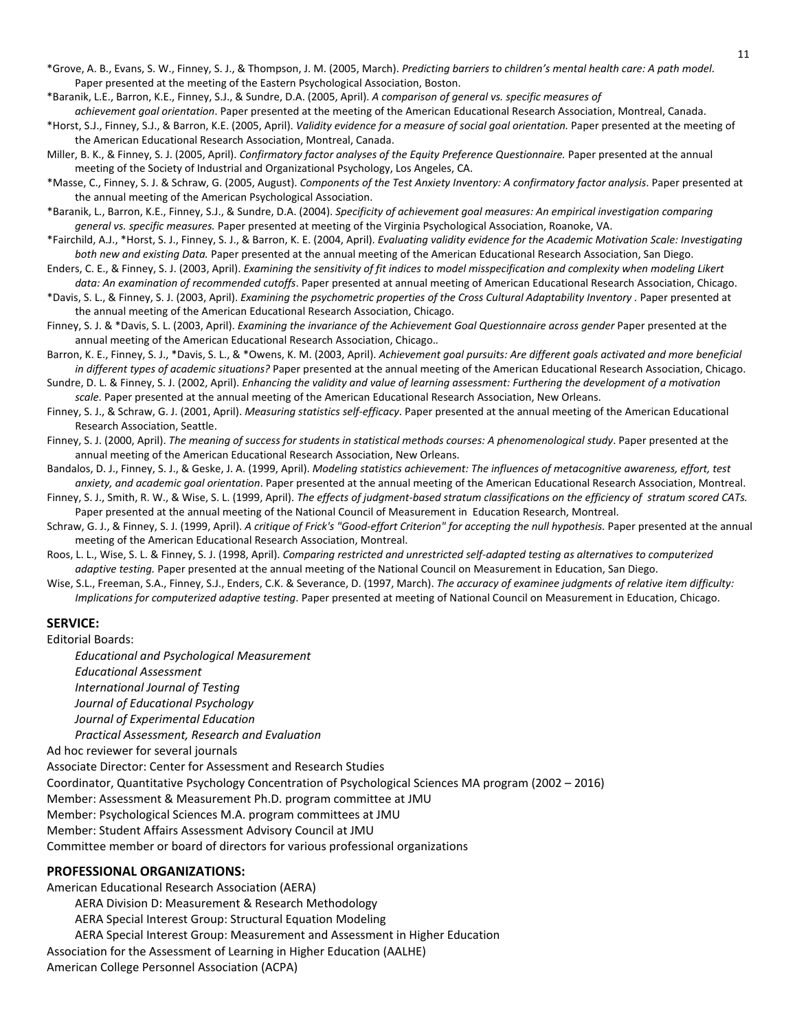- \*Grove, A. B., Evans, S. W., Finney, S. J., & Thompson, J. M. (2005, March). *Predicting barriers to children's mental health care: A path model*. Paper presented at the meeting of the Eastern Psychological Association, Boston.
- \*Baranik, L.E., Barron, K.E., Finney, S.J., & Sundre, D.A. (2005, April). *A comparison of general vs. specific measures of*
- *achievement goal orientation*. Paper presented at the meeting of the American Educational Research Association, Montreal, Canada. \*Horst, S.J., Finney, S.J., & Barron, K.E. (2005, April). *Validity evidence for a measure of social goal orientation.* Paper presented at the meeting of the American Educational Research Association, Montreal, Canada.
- Miller, B. K., & Finney, S. J. (2005, April). *Confirmatory factor analyses of the Equity Preference Questionnaire.* Paper presented at the annual meeting of the Society of Industrial and Organizational Psychology, Los Angeles, CA.
- \*Masse, C., Finney, S. J. & Schraw, G. (2005, August). *Components of the Test Anxiety Inventory: A confirmatory factor analysis*. Paper presented at the annual meeting of the American Psychological Association.
- \*Baranik, L., Barron, K.E., Finney, S.J., & Sundre, D.A. (2004). *Specificity of achievement goal measures: An empirical investigation comparing general vs. specific measures.* Paper presented at meeting of the Virginia Psychological Association, Roanoke, VA.
- \*Fairchild, A.J., \*Horst, S. J., Finney, S. J., & Barron, K. E. (2004, April). *Evaluating validity evidence for the Academic Motivation Scale: Investigating both new and existing Data.* Paper presented at the annual meeting of the American Educational Research Association, San Diego.
- Enders, C. E., & Finney, S. J. (2003, April). *Examining the sensitivity of fit indices to model misspecification and complexity when modeling Likert data: An examination of recommended cutoffs*. Paper presented at annual meeting of American Educational Research Association, Chicago.
- \*Davis, S. L., & Finney, S. J. (2003, April). *Examining the psychometric properties of the Cross Cultural Adaptability Inventory .* Paper presented at the annual meeting of the American Educational Research Association, Chicago.
- Finney, S. J. & \*Davis, S. L. (2003, April). *Examining the invariance of the Achievement Goal Questionnaire across gender* Paper presented at the annual meeting of the American Educational Research Association, Chicago.*.*
- Barron, K. E., Finney, S. J., \*Davis, S. L., & \*Owens, K. M. (2003, April). *Achievement goal pursuits: Are different goals activated and more beneficial in different types of academic situations?* Paper presented at the annual meeting of the American Educational Research Association, Chicago.
- Sundre, D. L. & Finney, S. J. (2002, April). *Enhancing the validity and value of learning assessment: Furthering the development of a motivation scale*. Paper presented at the annual meeting of the American Educational Research Association, New Orleans.
- Finney, S. J., & Schraw, G. J. (2001, April). *Measuring statistics self-efficacy*. Paper presented at the annual meeting of the American Educational Research Association, Seattle.
- Finney, S. J. (2000, April). *The meaning of success for students in statistical methods courses: A phenomenological study*. Paper presented at the annual meeting of the American Educational Research Association, New Orleans.
- Bandalos, D. J., Finney, S. J., & Geske, J. A. (1999, April). *Modeling statistics achievement: The influences of metacognitive awareness, effort, test anxiety, and academic goal orientation*. Paper presented at the annual meeting of the American Educational Research Association, Montreal.
- Finney, S. J., Smith, R. W., & Wise, S. L. (1999, April). *The effects of judgment-based stratum classifications on the efficiency of stratum scored CATs.* Paper presented at the annual meeting of the National Council of Measurement in Education Research, Montreal.
- Schraw, G. J., & Finney, S. J. (1999, April). *A critique of Frick's "Good-effort Criterion" for accepting the null hypothesis.* Paper presented at the annual meeting of the American Educational Research Association, Montreal.
- Roos, L. L., Wise, S. L. & Finney, S. J. (1998, April). *Comparing restricted and unrestricted self-adapted testing as alternatives to computerized adaptive testing.* Paper presented at the annual meeting of the National Council on Measurement in Education, San Diego.
- Wise, S.L., Freeman, S.A., Finney, S.J., Enders, C.K. & Severance, D. (1997, March). *The accuracy of examinee judgments of relative item difficulty: Implications for computerized adaptive testing*. Paper presented at meeting of National Council on Measurement in Education, Chicago.

#### **SERVICE:**

Editorial Boards:

*Educational and Psychological Measurement Educational Assessment International Journal of Testing Journal of Educational Psychology Journal of Experimental Education Practical Assessment, Research and Evaluation*

Ad hoc reviewer for several journals

Associate Director: Center for Assessment and Research Studies

Coordinator, Quantitative Psychology Concentration of Psychological Sciences MA program (2002 – 2016)

Member: Assessment & Measurement Ph.D. program committee at JMU

Member: Psychological Sciences M.A. program committees at JMU

Member: Student Affairs Assessment Advisory Council at JMU

Committee member or board of directors for various professional organizations

#### **PROFESSIONAL ORGANIZATIONS:**

American Educational Research Association (AERA) AERA Division D: Measurement & Research Methodology AERA Special Interest Group: Structural Equation Modeling AERA Special Interest Group: Measurement and Assessment in Higher Education Association for the Assessment of Learning in Higher Education (AALHE) American College Personnel Association (ACPA)